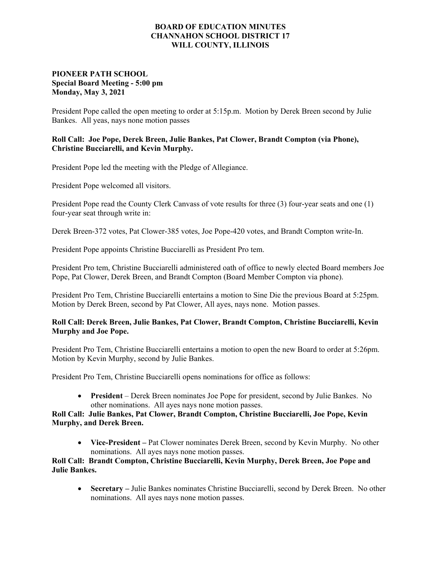#### **BOARD OF EDUCATION MINUTES CHANNAHON SCHOOL DISTRICT 17 WILL COUNTY, ILLINOIS**

# **PIONEER PATH SCHOOL Special Board Meeting - 5:00 pm Monday, May 3, 2021**

President Pope called the open meeting to order at 5:15p.m. Motion by Derek Breen second by Julie Bankes. All yeas, nays none motion passes

# **Roll Call: Joe Pope, Derek Breen, Julie Bankes, Pat Clower, Brandt Compton (via Phone), Christine Bucciarelli, and Kevin Murphy.**

President Pope led the meeting with the Pledge of Allegiance.

President Pope welcomed all visitors.

President Pope read the County Clerk Canvass of vote results for three (3) four-year seats and one (1) four-year seat through write in:

Derek Breen-372 votes, Pat Clower-385 votes, Joe Pope-420 votes, and Brandt Compton write-In.

President Pope appoints Christine Bucciarelli as President Pro tem.

President Pro tem, Christine Bucciarelli administered oath of office to newly elected Board members Joe Pope, Pat Clower, Derek Breen, and Brandt Compton (Board Member Compton via phone).

President Pro Tem, Christine Bucciarelli entertains a motion to Sine Die the previous Board at 5:25pm. Motion by Derek Breen, second by Pat Clower, All ayes, nays none. Motion passes.

# **Roll Call: Derek Breen, Julie Bankes, Pat Clower, Brandt Compton, Christine Bucciarelli, Kevin Murphy and Joe Pope.**

President Pro Tem, Christine Bucciarelli entertains a motion to open the new Board to order at 5:26pm. Motion by Kevin Murphy, second by Julie Bankes.

President Pro Tem, Christine Bucciarelli opens nominations for office as follows:

 **President** – Derek Breen nominates Joe Pope for president, second by Julie Bankes. No other nominations. All ayes nays none motion passes.

### **Roll Call: Julie Bankes, Pat Clower, Brandt Compton, Christine Bucciarelli, Joe Pope, Kevin Murphy, and Derek Breen.**

 **Vice-President –** Pat Clower nominates Derek Breen, second by Kevin Murphy. No other nominations. All ayes nays none motion passes.

# **Roll Call: Brandt Compton, Christine Bucciarelli, Kevin Murphy, Derek Breen, Joe Pope and Julie Bankes.**

 **Secretary –** Julie Bankes nominates Christine Bucciarelli, second by Derek Breen. No other nominations. All ayes nays none motion passes.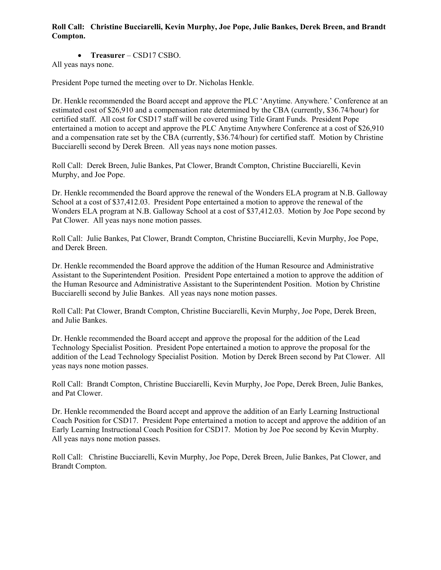## **Roll Call: Christine Bucciarelli, Kevin Murphy, Joe Pope, Julie Bankes, Derek Breen, and Brandt Compton.**

**Treasurer** – CSD17 CSBO.

All yeas nays none.

President Pope turned the meeting over to Dr. Nicholas Henkle.

Dr. Henkle recommended the Board accept and approve the PLC 'Anytime. Anywhere.' Conference at an estimated cost of \$26,910 and a compensation rate determined by the CBA (currently, \$36.74/hour) for certified staff. All cost for CSD17 staff will be covered using Title Grant Funds. President Pope entertained a motion to accept and approve the PLC Anytime Anywhere Conference at a cost of \$26,910 and a compensation rate set by the CBA (currently, \$36.74/hour) for certified staff. Motion by Christine Bucciarelli second by Derek Breen. All yeas nays none motion passes.

Roll Call: Derek Breen, Julie Bankes, Pat Clower, Brandt Compton, Christine Bucciarelli, Kevin Murphy, and Joe Pope.

Dr. Henkle recommended the Board approve the renewal of the Wonders ELA program at N.B. Galloway School at a cost of \$37,412.03. President Pope entertained a motion to approve the renewal of the Wonders ELA program at N.B. Galloway School at a cost of \$37,412.03. Motion by Joe Pope second by Pat Clower. All yeas nays none motion passes.

Roll Call: Julie Bankes, Pat Clower, Brandt Compton, Christine Bucciarelli, Kevin Murphy, Joe Pope, and Derek Breen.

Dr. Henkle recommended the Board approve the addition of the Human Resource and Administrative Assistant to the Superintendent Position. President Pope entertained a motion to approve the addition of the Human Resource and Administrative Assistant to the Superintendent Position. Motion by Christine Bucciarelli second by Julie Bankes. All yeas nays none motion passes.

Roll Call: Pat Clower, Brandt Compton, Christine Bucciarelli, Kevin Murphy, Joe Pope, Derek Breen, and Julie Bankes.

Dr. Henkle recommended the Board accept and approve the proposal for the addition of the Lead Technology Specialist Position. President Pope entertained a motion to approve the proposal for the addition of the Lead Technology Specialist Position. Motion by Derek Breen second by Pat Clower. All yeas nays none motion passes.

Roll Call: Brandt Compton, Christine Bucciarelli, Kevin Murphy, Joe Pope, Derek Breen, Julie Bankes, and Pat Clower.

Dr. Henkle recommended the Board accept and approve the addition of an Early Learning Instructional Coach Position for CSD17. President Pope entertained a motion to accept and approve the addition of an Early Learning Instructional Coach Position for CSD17. Motion by Joe Poe second by Kevin Murphy. All yeas nays none motion passes.

Roll Call: Christine Bucciarelli, Kevin Murphy, Joe Pope, Derek Breen, Julie Bankes, Pat Clower, and Brandt Compton.